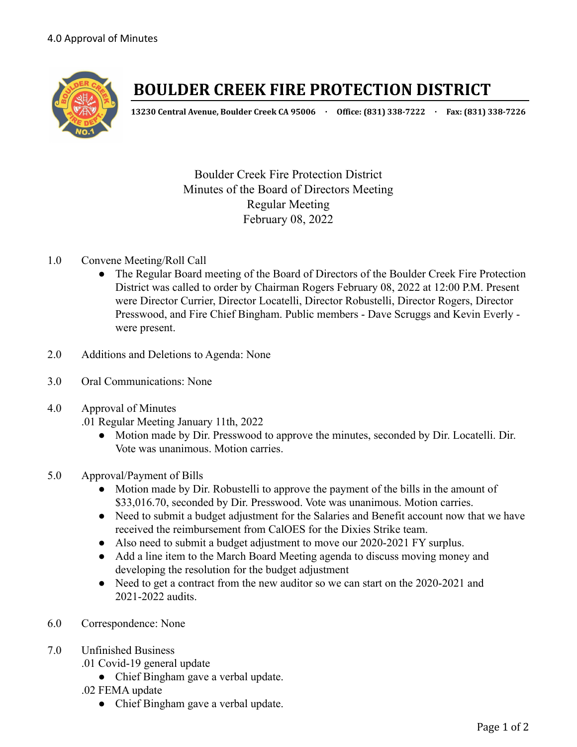

# **BOULDER CREEK FIRE PROTECTION DISTRICT**

**13230 Central Avenue, Boulder Creek CA 95006 · Office: (831) 338-7222 · Fax: (831) 338-7226**

Boulder Creek Fire Protection District Minutes of the Board of Directors Meeting Regular Meeting February 08, 2022

## 1.0 Convene Meeting/Roll Call

- The Regular Board meeting of the Board of Directors of the Boulder Creek Fire Protection District was called to order by Chairman Rogers February 08, 2022 at 12:00 P.M. Present were Director Currier, Director Locatelli, Director Robustelli, Director Rogers, Director Presswood, and Fire Chief Bingham. Public members - Dave Scruggs and Kevin Everly were present.
- 2.0 Additions and Deletions to Agenda: None
- 3.0 Oral Communications: None
- 4.0 Approval of Minutes

.01 Regular Meeting January 11th, 2022

- Motion made by Dir. Presswood to approve the minutes, seconded by Dir. Locatelli. Dir. Vote was unanimous. Motion carries.
- 5.0 Approval/Payment of Bills
	- Motion made by Dir. Robustelli to approve the payment of the bills in the amount of \$33,016.70, seconded by Dir. Presswood. Vote was unanimous. Motion carries.
	- Need to submit a budget adjustment for the Salaries and Benefit account now that we have received the reimbursement from CalOES for the Dixies Strike team.
	- Also need to submit a budget adjustment to move our 2020-2021 FY surplus.
	- Add a line item to the March Board Meeting agenda to discuss moving money and developing the resolution for the budget adjustment
	- Need to get a contract from the new auditor so we can start on the 2020-2021 and 2021-2022 audits.
- 6.0 Correspondence: None
- 7.0 Unfinished Business
	- .01 Covid-19 general update
		- Chief Bingham gave a verbal update.
	- .02 FEMA update
		- Chief Bingham gave a verbal update.